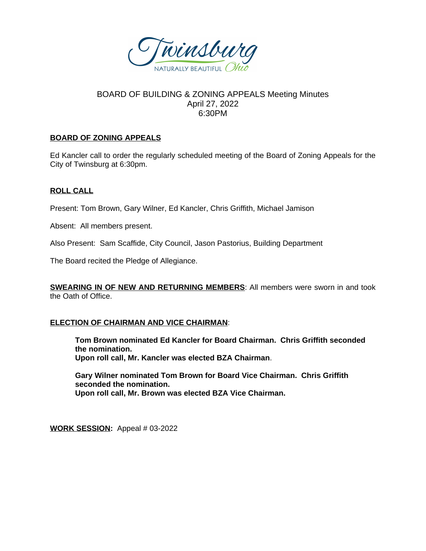

# BOARD OF BUILDING & ZONING APPEALS Meeting Minutes April 27, 2022 6:30PM

## **BOARD OF ZONING APPEALS**

Ed Kancler call to order the regularly scheduled meeting of the Board of Zoning Appeals for the City of Twinsburg at 6:30pm.

# **ROLL CALL**

Present: Tom Brown, Gary Wilner, Ed Kancler, Chris Griffith, Michael Jamison

Absent: All members present.

Also Present: Sam Scaffide, City Council, Jason Pastorius, Building Department

The Board recited the Pledge of Allegiance.

**SWEARING IN OF NEW AND RETURNING MEMBERS**: All members were sworn in and took the Oath of Office.

#### **ELECTION OF CHAIRMAN AND VICE CHAIRMAN**:

**Tom Brown nominated Ed Kancler for Board Chairman. Chris Griffith seconded the nomination. Upon roll call, Mr. Kancler was elected BZA Chairman**.

**Gary Wilner nominated Tom Brown for Board Vice Chairman. Chris Griffith seconded the nomination. Upon roll call, Mr. Brown was elected BZA Vice Chairman.**

**WORK SESSION:** Appeal # 03-2022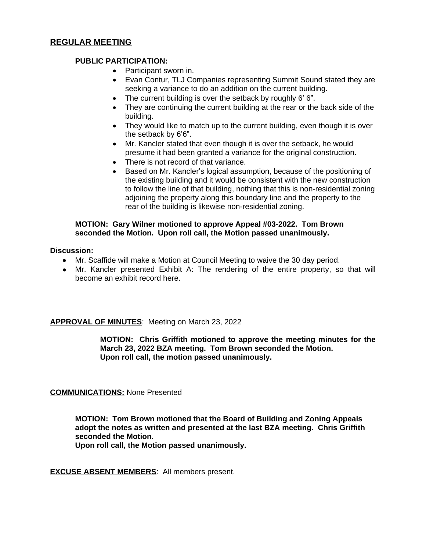## **PUBLIC PARTICIPATION:**

- Participant sworn in.
- Evan Contur, TLJ Companies representing Summit Sound stated they are seeking a variance to do an addition on the current building.
- The current building is over the setback by roughly 6' 6".
- They are continuing the current building at the rear or the back side of the building.
- They would like to match up to the current building, even though it is over the setback by 6'6".
- Mr. Kancler stated that even though it is over the setback, he would presume it had been granted a variance for the original construction.
- There is not record of that variance.
- Based on Mr. Kancler's logical assumption, because of the positioning of the existing building and it would be consistent with the new construction to follow the line of that building, nothing that this is non-residential zoning adjoining the property along this boundary line and the property to the rear of the building is likewise non-residential zoning.

## **MOTION: Gary Wilner motioned to approve Appeal #03-2022. Tom Brown seconded the Motion. Upon roll call, the Motion passed unanimously.**

#### **Discussion:**

- Mr. Scaffide will make a Motion at Council Meeting to waive the 30 day period.
- Mr. Kancler presented Exhibit A: The rendering of the entire property, so that will become an exhibit record here.

**APPROVAL OF MINUTES**: Meeting on March 23, 2022

**MOTION: Chris Griffith motioned to approve the meeting minutes for the March 23, 2022 BZA meeting. Tom Brown seconded the Motion. Upon roll call, the motion passed unanimously.**

# **COMMUNICATIONS:** None Presented

**MOTION: Tom Brown motioned that the Board of Building and Zoning Appeals adopt the notes as written and presented at the last BZA meeting. Chris Griffith seconded the Motion.** 

**Upon roll call, the Motion passed unanimously.**

**EXCUSE ABSENT MEMBERS**: All members present.